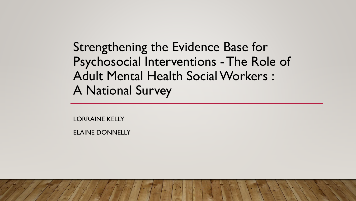Strengthening the Evidence Base for Psychosocial Interventions -The Role of Adult Mental Health Social Workers : A National Survey

LORRAINE KELLY

ELAINE DONNELLY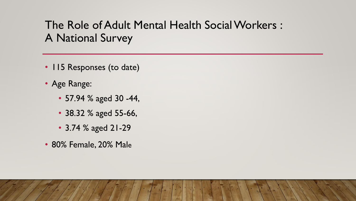# The Role of Adult Mental Health Social Workers : A National Survey

- 115 Responses (to date)
- Age Range:
	- 57.94 % aged 30 -44,
	- 38.32 % aged 55-66,
	- 3.74 % aged 21-29
- 80% Female, 20% Male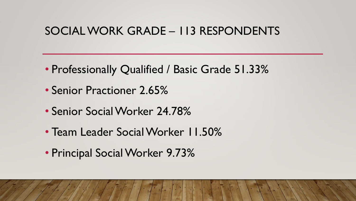#### SOCIAL WORK GRADE – 113 RESPONDENTS

- Professionally Qualified / Basic Grade 51.33%
- Senior Practioner 2.65%
- Senior Social Worker 24.78%
- Team Leader Social Worker 11.50%
- Principal Social Worker 9.73%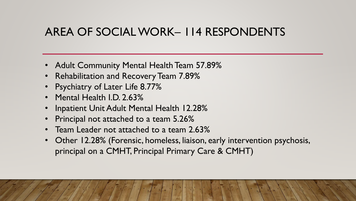## AREA OF SOCIAL WORK– 114 RESPONDENTS

- Adult Community Mental Health Team 57.89%
- Rehabilitation and Recovery Team 7.89%
- **Psychiatry of Later Life 8.77%**
- Mental Health I.D. 2.63%
- Inpatient Unit Adult Mental Health 12.28%
- Principal not attached to a team 5.26%
- Team Leader not attached to a team 2.63%
- Other 12.28% (Forensic, homeless, liaison, early intervention psychosis, principal on a CMHT, Principal Primary Care & CMHT)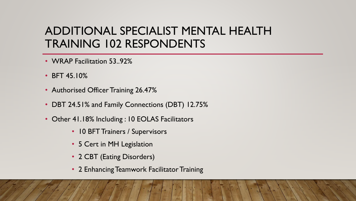## ADDITIONAL SPECIALIST MENTAL HEALTH TRAINING 102 RESPONDENTS

- WRAP Facilitation 53..92%
- BFT 45.10%
- Authorised Officer Training 26.47%
- DBT 24.51% and Family Connections (DBT) 12.75%
- Other 41.18% Including : 10 EOLAS Facilitators
	- 10 BFT Trainers / Supervisors
	- 5 Cert in MH Legislation
	- 2 CBT (Eating Disorders)
	- 2 Enhancing Teamwork Facilitator Training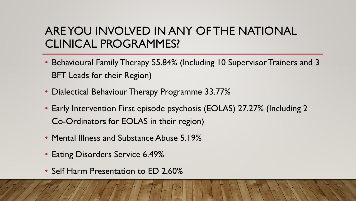## ARE YOU INVOLVED IN ANY OF THE NATIONAL CLINICAL PROGRAMMES?

- Behavioural Family Therapy 55.84% (Including 10 Supervisor Trainers and 3 BFT Leads for their Region)
- Dialectical Behaviour Therapy Programme 33.77%
- Early Intervention First episode psychosis (EOLAS) 27.27% (Including 2 Co-Ordinators for EOLAS in their region)
- Mental Illness and Substance Abuse 5.19%
- Eating Disorders Service 6.49%
- Self Harm Presentation to ED 2.60%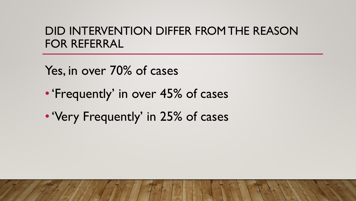#### DID INTERVENTION DIFFER FROM THE REASON FOR REFERRAL

Yes, in over 70% of cases

- •'Frequently' in over 45% of cases
- •'Very Frequently' in 25% of cases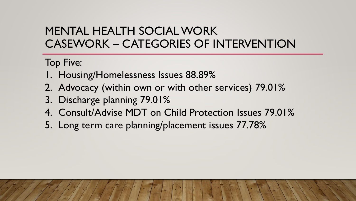Top Five:

- 1. Housing/Homelessness Issues 88.89%
- 2. Advocacy (within own or with other services) 79.01%
- 3. Discharge planning 79.01%
- 4. Consult/Advise MDT on Child Protection Issues 79.01%
- 5. Long term care planning/placement issues 77.78%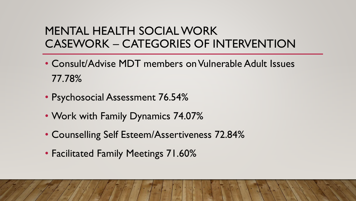- Consult/Advise MDT members on Vulnerable Adult Issues 77.78%
- Psychosocial Assessment 76.54%
- Work with Family Dynamics 74.07%
- Counselling Self Esteem/Assertiveness 72.84%
- Facilitated Family Meetings 71.60%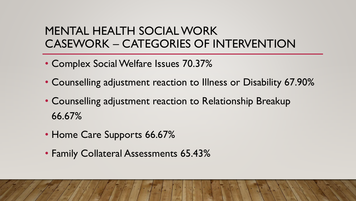- Complex Social Welfare Issues 70.37%
- Counselling adjustment reaction to Illness or Disability 67.90%
- Counselling adjustment reaction to Relationship Breakup 66.67%
- Home Care Supports 66.67%
- Family Collateral Assessments 65.43%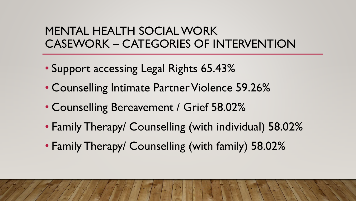- Support accessing Legal Rights 65.43%
- Counselling Intimate Partner Violence 59.26%
- Counselling Bereavement / Grief 58.02%
- Family Therapy/ Counselling (with individual) 58.02%
- Family Therapy/ Counselling (with family) 58.02%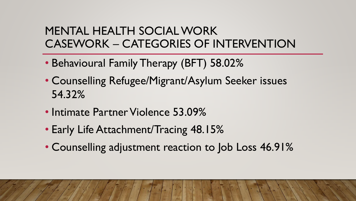- Behavioural Family Therapy (BFT) 58.02%
- Counselling Refugee/Migrant/Asylum Seeker issues 54.32%
- Intimate Partner Violence 53.09%
- Early Life Attachment/Tracing 48.15%
- Counselling adjustment reaction to Job Loss 46.91%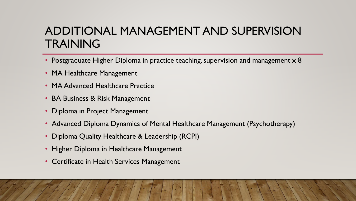## ADDITIONAL MANAGEMENT AND SUPERVISION TRAINING

- Postgraduate Higher Diploma in practice teaching, supervision and management x 8
- MA Healthcare Management
- MA Advanced Healthcare Practice
- BA Business & Risk Management
- Diploma in Project Management
- Advanced Diploma Dynamics of Mental Healthcare Management (Psychotherapy)
- Diploma Quality Healthcare & Leadership (RCPI)
- Higher Diploma in Healthcare Management
- Certificate in Health Services Management